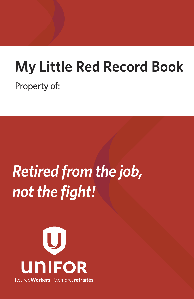## **My Little Red Record Book** Property of:

# *Retired from the job, not the fight!*

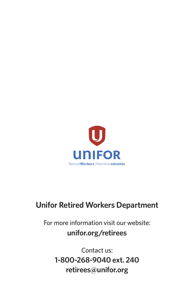

### **Unifor Retired Workers Department**

For more information visit our website: **unifor.org/retirees**

> Contact us: **1-800-268-9040 ext. 240 retirees@unifor.org**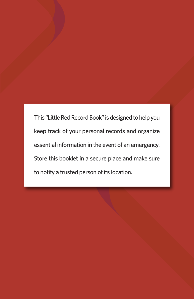This "Little Red Record Book" is designed to help you keep track of your personal records and organize essential information in the event of an emergency. Store this booklet in a secure place and make sure to notify a trusted person of its location.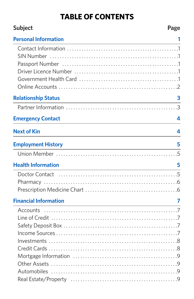### **TABLE OF CONTENTS**

| <b>Subject</b>                                                                                                                                       | Page             |
|------------------------------------------------------------------------------------------------------------------------------------------------------|------------------|
| <b>Personal Information</b><br>the control of the control of the control of the control of the control of the control of                             |                  |
|                                                                                                                                                      |                  |
|                                                                                                                                                      |                  |
|                                                                                                                                                      |                  |
|                                                                                                                                                      |                  |
|                                                                                                                                                      |                  |
|                                                                                                                                                      |                  |
| <b>Relationship Status</b><br><u> 1980 - Johann Barn, mars ann an t-Amhain Aonaich an t-Aonaich an t-Aonaich ann an t-Aonaich ann an t-Aonaich</u>   | 3                |
|                                                                                                                                                      |                  |
| <b>Emergency Contact</b>                                                                                                                             | $\boldsymbol{A}$ |
| <b>Next of Kin</b>                                                                                                                                   | 4                |
| <b>Employment History</b><br><u> 1989 - Johann Stoff, deutscher Stoffen und der Stoffen und der Stoffen und der Stoffen und der Stoffen und der</u>  | 5                |
|                                                                                                                                                      |                  |
| <b>Health Information</b>                                                                                                                            | 5                |
|                                                                                                                                                      |                  |
|                                                                                                                                                      |                  |
|                                                                                                                                                      |                  |
| <b>Financial Information</b><br><u> 1988 - Johann Stein, marwolaethau a bhann an t-Amhair an t-Amhair an t-Amhair an t-Amhair an t-Amhair an t-A</u> | 7                |
|                                                                                                                                                      |                  |
|                                                                                                                                                      |                  |
|                                                                                                                                                      |                  |
|                                                                                                                                                      |                  |
|                                                                                                                                                      |                  |
|                                                                                                                                                      |                  |
|                                                                                                                                                      |                  |
|                                                                                                                                                      |                  |
|                                                                                                                                                      |                  |
|                                                                                                                                                      |                  |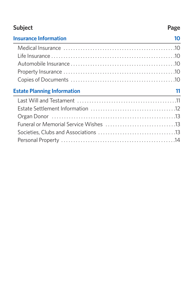### **Subject** Page

| <b>Insurance Information</b>       | 10 |
|------------------------------------|----|
|                                    |    |
|                                    |    |
|                                    |    |
|                                    |    |
|                                    |    |
|                                    |    |
| <b>Estate Planning Information</b> |    |
|                                    |    |
|                                    |    |
|                                    |    |
|                                    |    |
|                                    |    |
|                                    |    |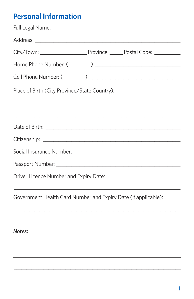### **Personal Information**

| Home Phone Number: (                          |                                                                |
|-----------------------------------------------|----------------------------------------------------------------|
| Cell Phone Number: (                          |                                                                |
| Place of Birth (City Province/State Country): |                                                                |
|                                               | <u> 1989 - Johann Stoff, amerikansk politiker (d. 1989)</u>    |
|                                               |                                                                |
|                                               |                                                                |
|                                               |                                                                |
|                                               |                                                                |
| Driver Licence Number and Expiry Date:        |                                                                |
|                                               | Government Health Card Number and Expiry Date (if applicable): |
|                                               |                                                                |
| <b>Notes:</b>                                 |                                                                |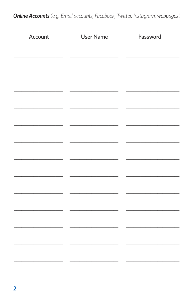**Online Accounts** (e.g. Email accounts, Facebook, Twitter, Instagram, webpages)

| Account | <b>User Name</b> | Password |
|---------|------------------|----------|
|         |                  |          |
|         |                  |          |
|         |                  |          |
|         |                  |          |
|         |                  |          |
|         |                  |          |
|         |                  |          |
|         |                  |          |
|         |                  |          |
|         |                  |          |
|         |                  |          |
|         |                  |          |
|         |                  |          |
|         |                  |          |
|         |                  |          |
|         |                  |          |
|         |                  |          |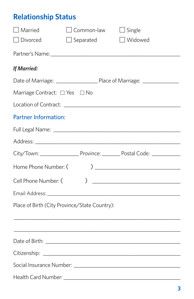### **Relationship Status**

| $\Box$ Married                                |                  | $\Box$ Common-law $\Box$ Single                             |  |
|-----------------------------------------------|------------------|-------------------------------------------------------------|--|
| $\Box$ Divorced                               | $\Box$ Separated | $\Box$ Widowed                                              |  |
|                                               |                  |                                                             |  |
| <b>If Married:</b>                            |                  |                                                             |  |
|                                               |                  |                                                             |  |
| Marriage Contract: □ Yes □ No                 |                  |                                                             |  |
|                                               |                  |                                                             |  |
| <b>Partner Information:</b>                   |                  |                                                             |  |
|                                               |                  |                                                             |  |
|                                               |                  |                                                             |  |
|                                               |                  |                                                             |  |
| Home Phone Number: (                          |                  | ) $\overline{\phantom{a}}$                                  |  |
| Cell Phone Number: (                          | $\mathcal{L}$    |                                                             |  |
|                                               |                  |                                                             |  |
| Place of Birth (City Province/State Country): |                  |                                                             |  |
|                                               |                  | <u> 1989 - Johann Stoff, amerikansk politiker (d. 1989)</u> |  |
|                                               |                  |                                                             |  |
|                                               |                  |                                                             |  |
|                                               |                  |                                                             |  |
|                                               |                  |                                                             |  |
|                                               |                  |                                                             |  |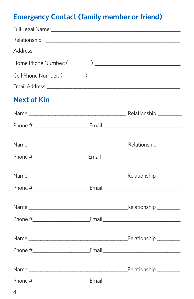### **Emergency Contact (family member or friend)**

| Home Phone Number: ( | $\begin{tabular}{ c c c c } \hline \quad \quad & \quad \quad & \quad \quad & \quad \quad \\ \hline \end{tabular}$ |
|----------------------|-------------------------------------------------------------------------------------------------------------------|
| Cell Phone Number: ( |                                                                                                                   |
|                      |                                                                                                                   |
| <b>Next of Kin</b>   |                                                                                                                   |
|                      |                                                                                                                   |
|                      |                                                                                                                   |
|                      |                                                                                                                   |
|                      |                                                                                                                   |
|                      |                                                                                                                   |
|                      |                                                                                                                   |
|                      |                                                                                                                   |
|                      |                                                                                                                   |
|                      |                                                                                                                   |
|                      |                                                                                                                   |
|                      | _Relationship __________                                                                                          |
|                      |                                                                                                                   |

 $\overline{\mathbf{4}}$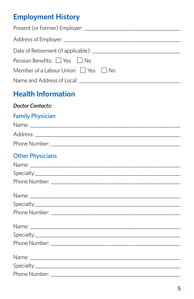### **Employment History**

| Pension Benefits: □ Yes □ No                                                                                                                                                                                                  |
|-------------------------------------------------------------------------------------------------------------------------------------------------------------------------------------------------------------------------------|
| Member of a Labour Union: □ Yes □ No                                                                                                                                                                                          |
|                                                                                                                                                                                                                               |
| <b>Health Information</b>                                                                                                                                                                                                     |
| <b>Doctor Contacts:</b>                                                                                                                                                                                                       |
| <b>Family Physician</b>                                                                                                                                                                                                       |
|                                                                                                                                                                                                                               |
|                                                                                                                                                                                                                               |
|                                                                                                                                                                                                                               |
| <b>Other Physicians</b>                                                                                                                                                                                                       |
|                                                                                                                                                                                                                               |
|                                                                                                                                                                                                                               |
|                                                                                                                                                                                                                               |
|                                                                                                                                                                                                                               |
|                                                                                                                                                                                                                               |
|                                                                                                                                                                                                                               |
|                                                                                                                                                                                                                               |
|                                                                                                                                                                                                                               |
|                                                                                                                                                                                                                               |
|                                                                                                                                                                                                                               |
|                                                                                                                                                                                                                               |
|                                                                                                                                                                                                                               |
| Phone Number: The Contract of the Contract of the Contract of the Contract of the Contract of the Contract of the Contract of the Contract of the Contract of the Contract of the Contract of the Contract of the Contract of |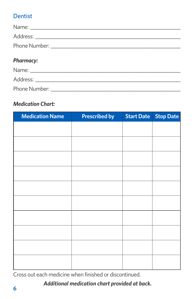### Dentist

| <b>Pharmacy:</b> |  |
|------------------|--|
| $\mathbf{A}$     |  |

| Name:         |
|---------------|
| Address:      |
| Phone Number: |

### *Medication Chart:*

| <b>Medication Name</b> | <b>Prescribed by</b> | <b>Start Date</b> | <b>Stop Date</b> |
|------------------------|----------------------|-------------------|------------------|
|                        |                      |                   |                  |
|                        |                      |                   |                  |
|                        |                      |                   |                  |
|                        |                      |                   |                  |
|                        |                      |                   |                  |
|                        |                      |                   |                  |
|                        |                      |                   |                  |
|                        |                      |                   |                  |
|                        |                      |                   |                  |
|                        |                      |                   |                  |
|                        |                      |                   |                  |

Cross out each medicine when finished or discontinued.

#### *Additional medication chart provided at back.*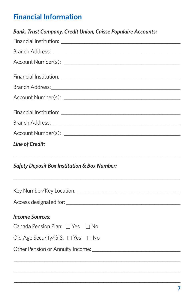## **Financial Information**

| <b>Bank, Trust Company, Credit Union, Caisse Populaire Accounts:</b> |  |  |  |
|----------------------------------------------------------------------|--|--|--|
|                                                                      |  |  |  |
|                                                                      |  |  |  |
|                                                                      |  |  |  |
|                                                                      |  |  |  |
|                                                                      |  |  |  |
|                                                                      |  |  |  |
|                                                                      |  |  |  |
|                                                                      |  |  |  |
|                                                                      |  |  |  |
| <b>Safety Deposit Box Institution &amp; Box Number:</b>              |  |  |  |
|                                                                      |  |  |  |
|                                                                      |  |  |  |
| <b>Income Sources:</b>                                               |  |  |  |
| Canada Pension Plan: □ Yes □ No                                      |  |  |  |
| Old Age Security/GIS: □ Yes □ No                                     |  |  |  |
|                                                                      |  |  |  |
|                                                                      |  |  |  |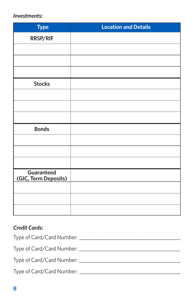#### *Investments:*

| <b>Type</b>                        | <b>Location and Details</b> |
|------------------------------------|-----------------------------|
| RRSP/RIF                           |                             |
|                                    |                             |
|                                    |                             |
|                                    |                             |
| <b>Stocks</b>                      |                             |
|                                    |                             |
|                                    |                             |
|                                    |                             |
| <b>Bonds</b>                       |                             |
|                                    |                             |
|                                    |                             |
|                                    |                             |
| Guaranteed<br>(GIC, Term Deposits) |                             |
|                                    |                             |
|                                    |                             |
|                                    |                             |

#### *Credit Cards:*

| Type of Card/Card Number:   |  |
|-----------------------------|--|
| Type of Card/Card Number:   |  |
| Type of Card/Card Number:   |  |
| Type of Card/Card Number: _ |  |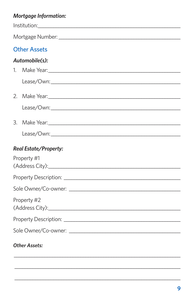### **Mortgage Information:**

| <b>Other Assets</b>                         |
|---------------------------------------------|
| Automobile(s):                              |
| 1.                                          |
|                                             |
| 2.                                          |
|                                             |
| 3.                                          |
|                                             |
| <b>Real Estate/Property:</b><br>Property #1 |
|                                             |
|                                             |
| Property #2                                 |
|                                             |
|                                             |
| <b>Other Assets:</b>                        |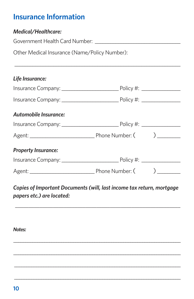### **Insurance Information**

#### *Medical/Healthcare:*

Government Health Card Number: Later and Australian Control of the United States of the United States and Taylor

Other Medical Insurance (Name/Policy Number):

#### *Life Insurance:*

| <b>Automobile Insurance:</b> |  |  |
|------------------------------|--|--|
|                              |  |  |
|                              |  |  |
| <b>Property Insurance:</b>   |  |  |
|                              |  |  |
|                              |  |  |

\_\_\_\_\_\_\_\_\_\_\_\_\_\_\_\_\_\_\_\_\_\_\_\_\_\_\_\_\_\_\_\_\_\_\_\_\_\_\_\_\_\_\_\_\_\_\_\_\_\_\_\_\_\_\_\_\_\_\_\_\_\_\_\_

*Copies of Important Documents (will, last income tax return, mortgage papers etc.) are located:*

\_\_\_\_\_\_\_\_\_\_\_\_\_\_\_\_\_\_\_\_\_\_\_\_\_\_\_\_\_\_\_\_\_\_\_\_\_\_\_\_\_\_\_\_\_\_\_\_\_\_\_\_\_\_\_\_\_\_\_\_\_

\_\_\_\_\_\_\_\_\_\_\_\_\_\_\_\_\_\_\_\_\_\_\_\_\_\_\_\_\_\_\_\_\_\_\_\_\_\_\_\_\_\_\_\_\_\_\_\_\_\_\_\_\_\_\_\_\_\_\_\_\_\_\_\_\_\_\_\_\_\_

\_\_\_\_\_\_\_\_\_\_\_\_\_\_\_\_\_\_\_\_\_\_\_\_\_\_\_\_\_\_\_\_\_\_\_\_\_\_\_\_\_\_\_\_\_\_\_\_\_\_\_\_\_\_\_\_\_\_\_\_\_\_\_\_\_\_\_\_\_\_

\_\_\_\_\_\_\_\_\_\_\_\_\_\_\_\_\_\_\_\_\_\_\_\_\_\_\_\_\_\_\_\_\_\_\_\_\_\_\_\_\_\_\_\_\_\_\_\_\_\_\_\_\_\_\_\_\_\_\_\_\_\_\_\_\_\_\_\_

\_\_\_\_\_\_\_\_\_\_\_\_\_\_\_\_\_\_\_\_\_\_\_\_\_\_\_\_\_\_\_\_\_\_\_\_\_\_\_\_\_\_\_\_\_\_\_\_\_\_\_\_\_\_\_\_\_\_\_\_\_\_\_\_\_\_\_\_

*Notes:*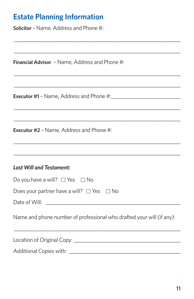### **Estate Planning Information**

**Solicitor** - Name, Address and Phone #:

Financial Advisor - Name, Address and Phone #:

**Executor #2 - Name, Address and Phone #:** 

#### **Last Will and Testament:**

| Do you have a will? $\Box$ Yes $\Box$ No                              |  |  |
|-----------------------------------------------------------------------|--|--|
| Does your partner have a will? $\Box$ Yes $\Box$ No                   |  |  |
|                                                                       |  |  |
| Name and phone number of professional who drafted your will (if any): |  |  |
|                                                                       |  |  |

. . . . . . . . . . . . . .

Additional Copies with: National Copies with: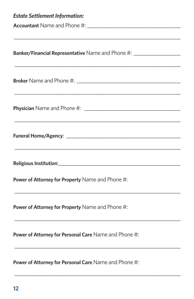| <b>Estate Settlement Information:</b>                                                                                                                                                                                          |
|--------------------------------------------------------------------------------------------------------------------------------------------------------------------------------------------------------------------------------|
| Accountant Name and Phone #: \\connect\\ \\connect\\ \\connect\\ \\connect\\ \\connect\\ \\connect\\ \\connect\\ \\connect\\ \\connect\\ \\connect\\ \\connect\\ \\connect\\ \\connect\\ \\connect\\ \\connect\\ \\connect\\ \ |
|                                                                                                                                                                                                                                |
|                                                                                                                                                                                                                                |
| <b>Banker/Financial Representative</b> Name and Phone #: ______________________________                                                                                                                                        |
|                                                                                                                                                                                                                                |
|                                                                                                                                                                                                                                |
|                                                                                                                                                                                                                                |
|                                                                                                                                                                                                                                |
|                                                                                                                                                                                                                                |
|                                                                                                                                                                                                                                |
|                                                                                                                                                                                                                                |
|                                                                                                                                                                                                                                |
|                                                                                                                                                                                                                                |
|                                                                                                                                                                                                                                |
|                                                                                                                                                                                                                                |
| <b>Power of Attorney for Property Name and Phone #:</b>                                                                                                                                                                        |
|                                                                                                                                                                                                                                |
|                                                                                                                                                                                                                                |
| Power of Attorney for Property Name and Phone #:                                                                                                                                                                               |
|                                                                                                                                                                                                                                |
|                                                                                                                                                                                                                                |
| Power of Attorney for Personal Care Name and Phone #:                                                                                                                                                                          |
|                                                                                                                                                                                                                                |
|                                                                                                                                                                                                                                |
| <b>Power of Attorney for Personal Care Name and Phone #:</b>                                                                                                                                                                   |
|                                                                                                                                                                                                                                |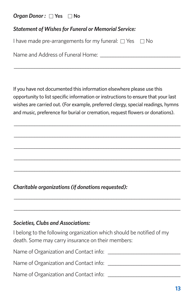#### *Organ Donor :*□ **Yes** □ **No**

| I have made pre-arrangements for my funeral: $\Box$ Yes $\Box$ No |  |
|-------------------------------------------------------------------|--|
|-------------------------------------------------------------------|--|

Name and Address of Funeral Home:

If you have not documented this information elsewhere please use this opportunity to list specific information or instructions to ensure that your last wishes are carried out. (For example, preferred clergy, special readings, hymns and music, preference for burial or cremation, request flowers or donations).

\_\_\_\_\_\_\_\_\_\_\_\_\_\_\_\_\_\_\_\_\_\_\_\_\_\_\_\_\_\_\_\_\_\_\_\_\_\_\_\_\_\_\_\_\_\_\_\_\_\_\_\_\_\_\_\_\_\_\_\_\_\_\_\_\_

\_\_\_\_\_\_\_\_\_\_\_\_\_\_\_\_\_\_\_\_\_\_\_\_\_\_\_\_\_\_\_\_\_\_\_\_\_\_\_\_\_\_\_\_\_\_\_\_\_\_\_\_\_\_\_\_\_\_\_\_\_\_\_\_\_

\_\_\_\_\_\_\_\_\_\_\_\_\_\_\_\_\_\_\_\_\_\_\_\_\_\_\_\_\_\_\_\_\_\_\_\_\_\_\_\_\_\_\_\_\_\_\_\_\_\_\_\_\_\_\_\_\_\_\_\_\_\_\_\_\_

\_\_\_\_\_\_\_\_\_\_\_\_\_\_\_\_\_\_\_\_\_\_\_\_\_\_\_\_\_\_\_\_\_\_\_\_\_\_\_\_\_\_\_\_\_\_\_\_\_\_\_\_\_\_\_\_\_\_\_\_\_\_\_\_\_

\_\_\_\_\_\_\_\_\_\_\_\_\_\_\_\_\_\_\_\_\_\_\_\_\_\_\_\_\_\_\_\_\_\_\_\_\_\_\_\_\_\_\_\_\_\_\_\_\_\_\_\_\_\_\_\_\_\_\_\_\_\_\_\_\_

\_\_\_\_\_\_\_\_\_\_\_\_\_\_\_\_\_\_\_\_\_\_\_\_\_\_\_\_\_\_\_\_\_\_\_\_\_\_\_\_\_\_\_\_\_\_\_\_\_\_\_\_\_\_\_\_\_\_\_\_\_\_\_\_\_

\_\_\_\_\_\_\_\_\_\_\_\_\_\_\_\_\_\_\_\_\_\_\_\_\_\_\_\_\_\_\_\_\_\_\_\_\_\_\_\_\_\_\_\_\_\_\_\_\_\_\_\_\_\_\_\_\_\_\_\_\_\_\_\_\_

\_\_\_\_\_\_\_\_\_\_\_\_\_\_\_\_\_\_\_\_\_\_\_\_\_\_\_\_\_\_\_\_\_\_\_\_\_\_\_\_\_\_\_\_\_\_\_\_\_\_\_\_\_\_\_\_\_\_\_\_\_\_\_\_\_

*Charitable organizations (if donations requested):* 

#### *Societies, Clubs and Associations:*

I belong to the following organization which should be notified of my death. Some may carry insurance on their members:

Name of Organization and Contact info: \_\_\_\_\_\_\_\_\_\_\_\_\_\_\_\_\_\_\_\_\_\_\_\_\_\_\_\_

Name of Organization and Contact info: \_\_\_\_\_\_\_\_\_\_\_\_\_\_\_\_\_\_\_\_\_\_\_\_\_\_\_\_

Name of Organization and Contact info: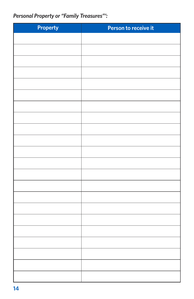### *Personal Property or "Family Treasures"':*

| <b>Property</b> | Person to receive it |
|-----------------|----------------------|
|                 |                      |
|                 |                      |
|                 |                      |
|                 |                      |
|                 |                      |
|                 |                      |
|                 |                      |
|                 |                      |
|                 |                      |
|                 |                      |
|                 |                      |
|                 |                      |
|                 |                      |
|                 |                      |
|                 |                      |
|                 |                      |
|                 |                      |
|                 |                      |
|                 |                      |
|                 |                      |
|                 |                      |
|                 |                      |
|                 |                      |